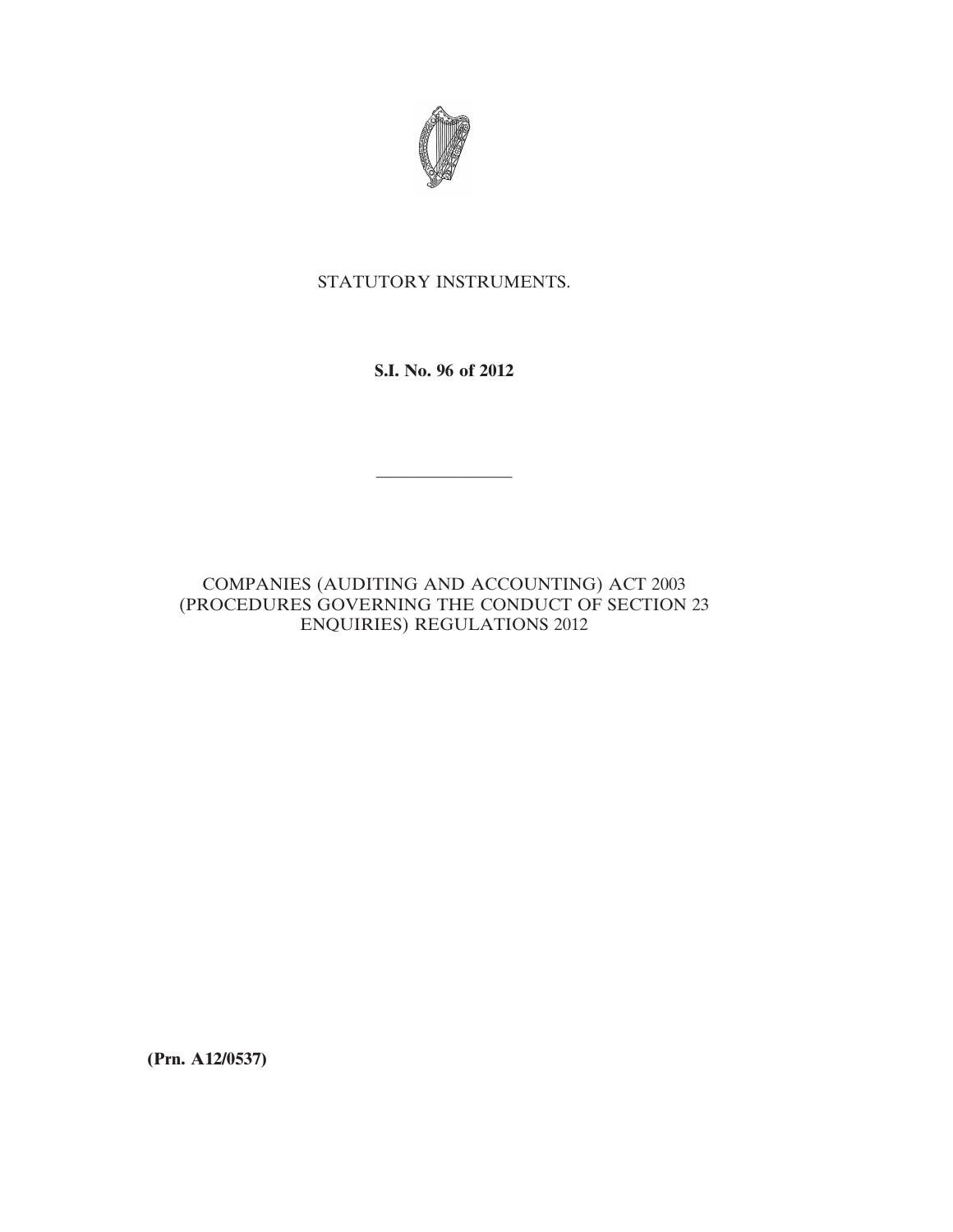

# STATUTORY INSTRUMENTS.

**S.I. No. 96 of 2012**

————————

# COMPANIES (AUDITING AND ACCOUNTING) ACT 2003 (PROCEDURES GOVERNING THE CONDUCT OF SECTION 23 ENQUIRIES) REGULATIONS 2012

**(Prn. A12/0537)**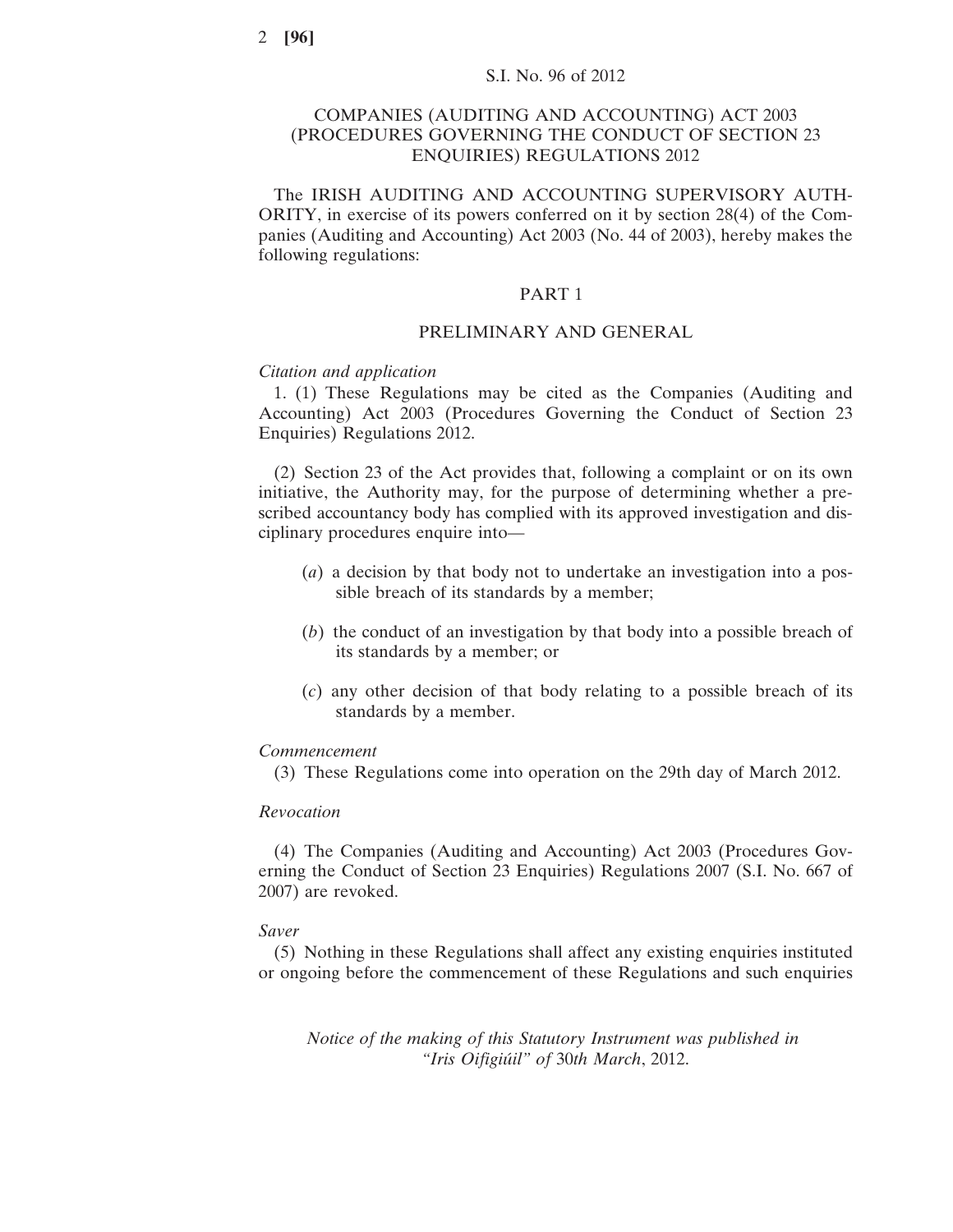# COMPANIES (AUDITING AND ACCOUNTING) ACT 2003 (PROCEDURES GOVERNING THE CONDUCT OF SECTION 23 ENQUIRIES) REGULATIONS 2012

The IRISH AUDITING AND ACCOUNTING SUPERVISORY AUTH-ORITY, in exercise of its powers conferred on it by section 28(4) of the Companies (Auditing and Accounting) Act 2003 (No. 44 of 2003), hereby makes the following regulations:

# PART 1

# PRELIMINARY AND GENERAL

# *Citation and application*

1. (1) These Regulations may be cited as the Companies (Auditing and Accounting) Act 2003 (Procedures Governing the Conduct of Section 23 Enquiries) Regulations 2012.

(2) Section 23 of the Act provides that, following a complaint or on its own initiative, the Authority may, for the purpose of determining whether a prescribed accountancy body has complied with its approved investigation and disciplinary procedures enquire into—

- (*a*) a decision by that body not to undertake an investigation into a possible breach of its standards by a member;
- (*b*) the conduct of an investigation by that body into a possible breach of its standards by a member; or
- (*c*) any other decision of that body relating to a possible breach of its standards by a member.

#### *Commencement*

(3) These Regulations come into operation on the 29th day of March 2012.

#### *Revocation*

(4) The Companies (Auditing and Accounting) Act 2003 (Procedures Governing the Conduct of Section 23 Enquiries) Regulations 2007 (S.I. No. 667 of 2007) are revoked.

#### *Saver*

(5) Nothing in these Regulations shall affect any existing enquiries instituted or ongoing before the commencement of these Regulations and such enquiries

*Notice of the making of this Statutory Instrument was published in "Iris Oifigiúil" of* 30*th March*, 2012.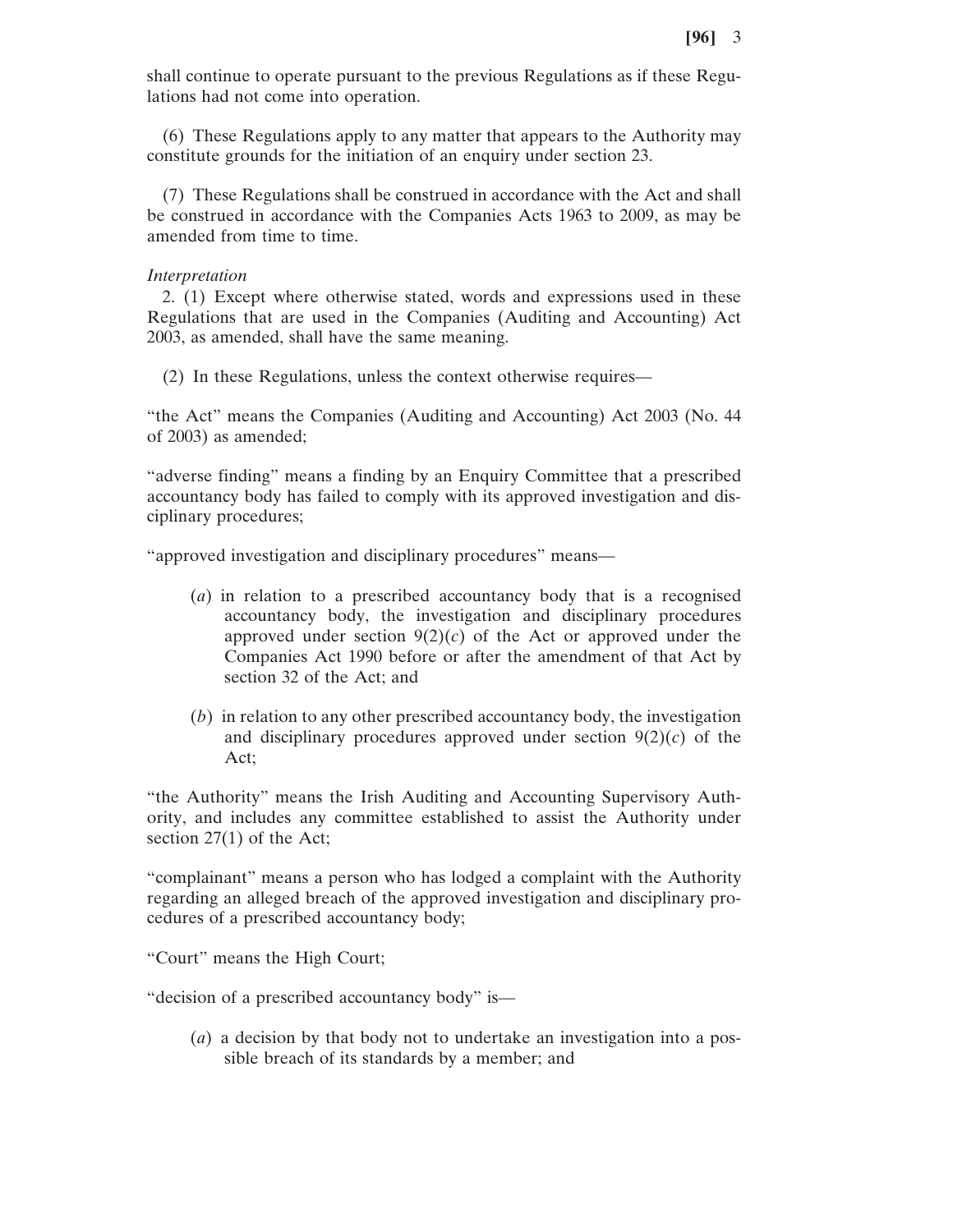shall continue to operate pursuant to the previous Regulations as if these Regulations had not come into operation.

(6) These Regulations apply to any matter that appears to the Authority may constitute grounds for the initiation of an enquiry under section 23.

(7) These Regulations shall be construed in accordance with the Act and shall be construed in accordance with the Companies Acts 1963 to 2009, as may be amended from time to time.

## *Interpretation*

2. (1) Except where otherwise stated, words and expressions used in these Regulations that are used in the Companies (Auditing and Accounting) Act 2003, as amended, shall have the same meaning.

(2) In these Regulations, unless the context otherwise requires—

"the Act" means the Companies (Auditing and Accounting) Act 2003 (No. 44 of 2003) as amended;

"adverse finding" means a finding by an Enquiry Committee that a prescribed accountancy body has failed to comply with its approved investigation and disciplinary procedures;

"approved investigation and disciplinary procedures" means—

- (*a*) in relation to a prescribed accountancy body that is a recognised accountancy body, the investigation and disciplinary procedures approved under section  $9(2)(c)$  of the Act or approved under the Companies Act 1990 before or after the amendment of that Act by section 32 of the Act; and
- (*b*) in relation to any other prescribed accountancy body, the investigation and disciplinary procedures approved under section 9(2)(*c*) of the Act;

"the Authority" means the Irish Auditing and Accounting Supervisory Authority, and includes any committee established to assist the Authority under section 27(1) of the Act;

"complainant" means a person who has lodged a complaint with the Authority regarding an alleged breach of the approved investigation and disciplinary procedures of a prescribed accountancy body;

"Court" means the High Court;

"decision of a prescribed accountancy body" is—

(*a*) a decision by that body not to undertake an investigation into a possible breach of its standards by a member; and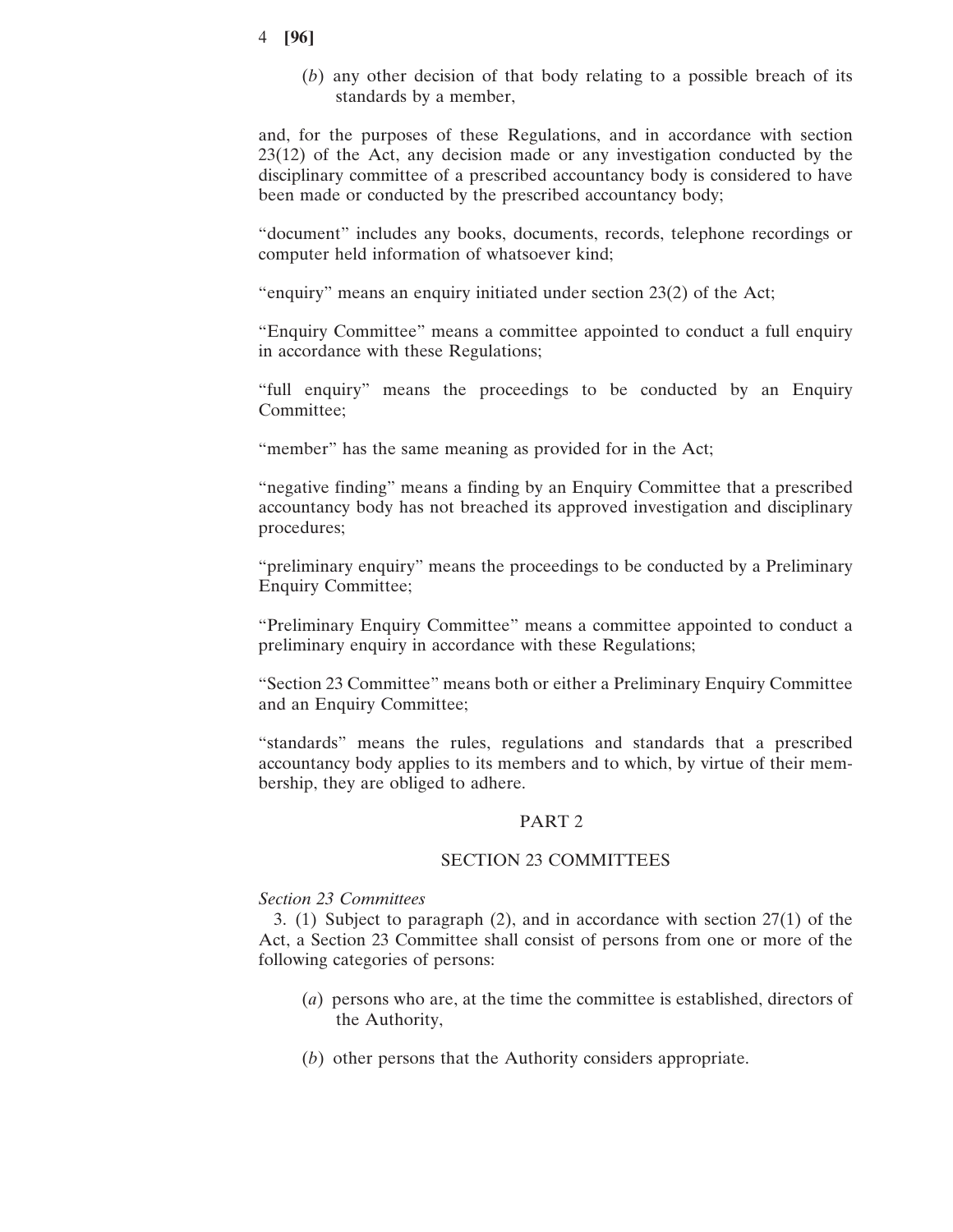(*b*) any other decision of that body relating to a possible breach of its standards by a member,

and, for the purposes of these Regulations, and in accordance with section 23(12) of the Act, any decision made or any investigation conducted by the disciplinary committee of a prescribed accountancy body is considered to have been made or conducted by the prescribed accountancy body;

"document" includes any books, documents, records, telephone recordings or computer held information of whatsoever kind;

"enquiry" means an enquiry initiated under section 23(2) of the Act;

"Enquiry Committee" means a committee appointed to conduct a full enquiry in accordance with these Regulations;

"full enquiry" means the proceedings to be conducted by an Enquiry Committee;

"member" has the same meaning as provided for in the Act;

"negative finding" means a finding by an Enquiry Committee that a prescribed accountancy body has not breached its approved investigation and disciplinary procedures;

"preliminary enquiry" means the proceedings to be conducted by a Preliminary Enquiry Committee;

"Preliminary Enquiry Committee" means a committee appointed to conduct a preliminary enquiry in accordance with these Regulations;

"Section 23 Committee" means both or either a Preliminary Enquiry Committee and an Enquiry Committee;

"standards" means the rules, regulations and standards that a prescribed accountancy body applies to its members and to which, by virtue of their membership, they are obliged to adhere.

## PART 2

## SECTION 23 COMMITTEES

# *Section 23 Committees*

3. (1) Subject to paragraph (2), and in accordance with section 27(1) of the Act, a Section 23 Committee shall consist of persons from one or more of the following categories of persons:

- (*a*) persons who are, at the time the committee is established, directors of the Authority,
- (*b*) other persons that the Authority considers appropriate.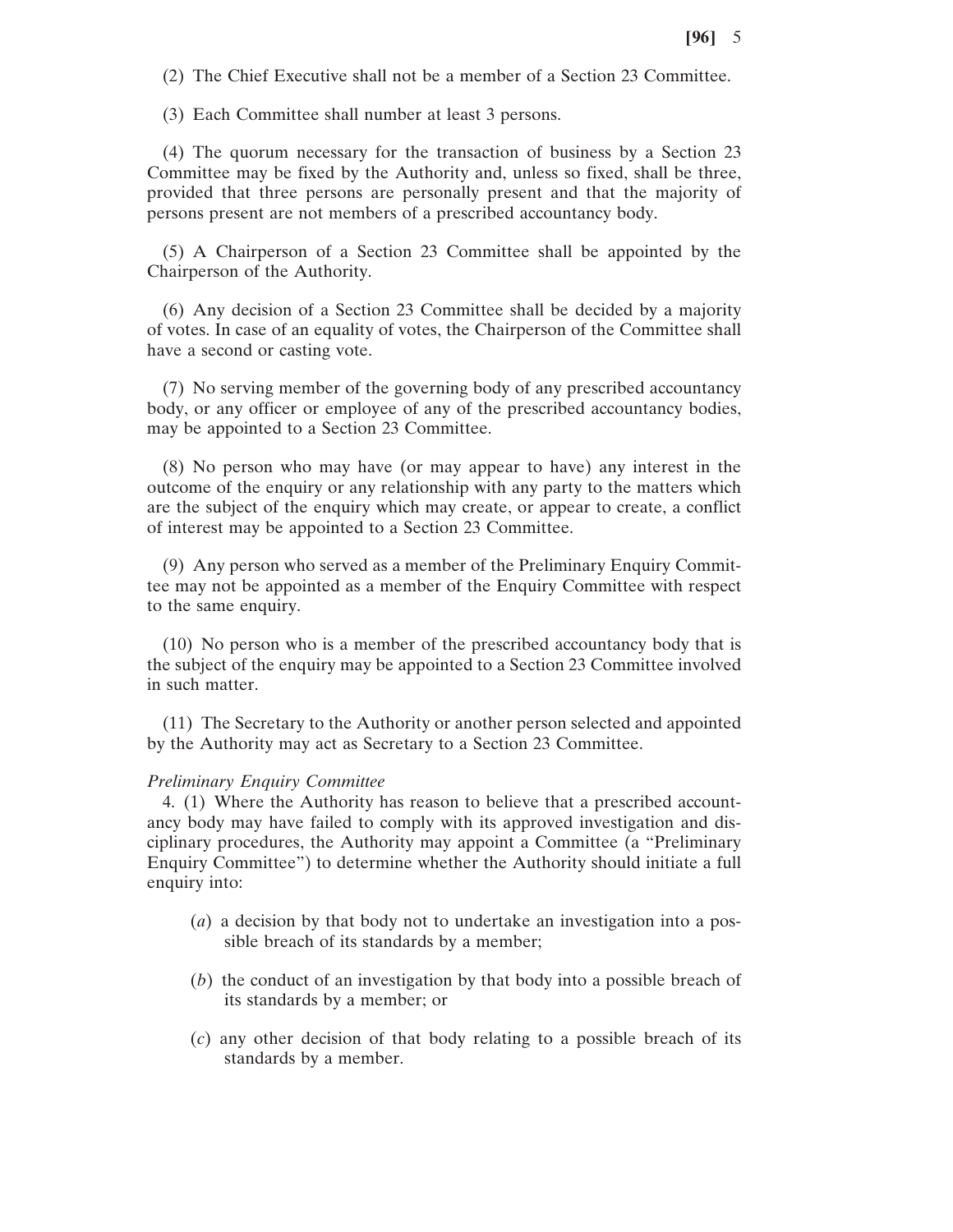(2) The Chief Executive shall not be a member of a Section 23 Committee.

(3) Each Committee shall number at least 3 persons.

(4) The quorum necessary for the transaction of business by a Section 23 Committee may be fixed by the Authority and, unless so fixed, shall be three, provided that three persons are personally present and that the majority of persons present are not members of a prescribed accountancy body.

(5) A Chairperson of a Section 23 Committee shall be appointed by the Chairperson of the Authority.

(6) Any decision of a Section 23 Committee shall be decided by a majority of votes. In case of an equality of votes, the Chairperson of the Committee shall have a second or casting vote.

(7) No serving member of the governing body of any prescribed accountancy body, or any officer or employee of any of the prescribed accountancy bodies, may be appointed to a Section 23 Committee.

(8) No person who may have (or may appear to have) any interest in the outcome of the enquiry or any relationship with any party to the matters which are the subject of the enquiry which may create, or appear to create, a conflict of interest may be appointed to a Section 23 Committee.

(9) Any person who served as a member of the Preliminary Enquiry Committee may not be appointed as a member of the Enquiry Committee with respect to the same enquiry.

(10) No person who is a member of the prescribed accountancy body that is the subject of the enquiry may be appointed to a Section 23 Committee involved in such matter.

(11) The Secretary to the Authority or another person selected and appointed by the Authority may act as Secretary to a Section 23 Committee.

#### *Preliminary Enquiry Committee*

4. (1) Where the Authority has reason to believe that a prescribed accountancy body may have failed to comply with its approved investigation and disciplinary procedures, the Authority may appoint a Committee (a "Preliminary Enquiry Committee") to determine whether the Authority should initiate a full enquiry into:

- (*a*) a decision by that body not to undertake an investigation into a possible breach of its standards by a member;
- (*b*) the conduct of an investigation by that body into a possible breach of its standards by a member; or
- (*c*) any other decision of that body relating to a possible breach of its standards by a member.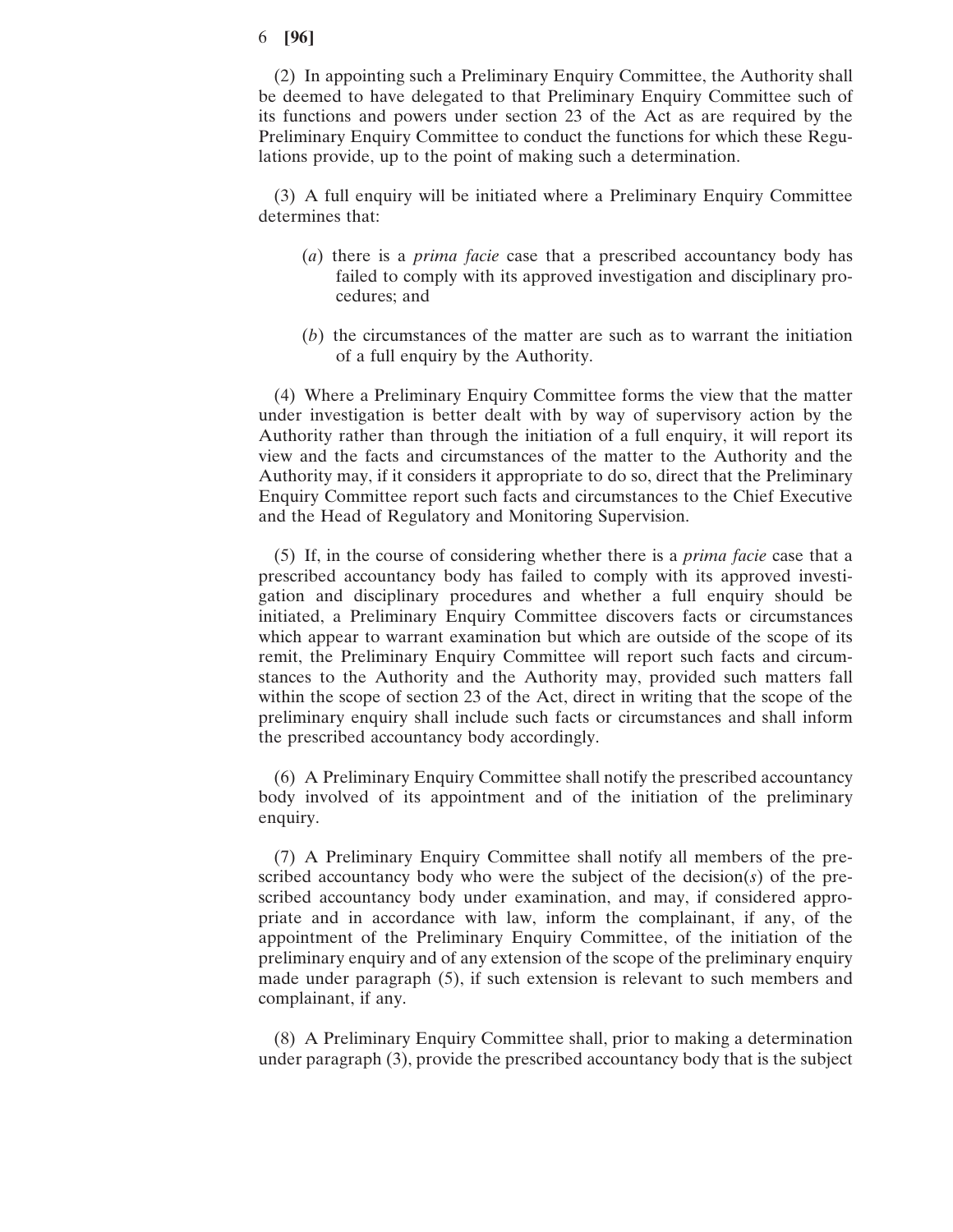(2) In appointing such a Preliminary Enquiry Committee, the Authority shall be deemed to have delegated to that Preliminary Enquiry Committee such of its functions and powers under section 23 of the Act as are required by the Preliminary Enquiry Committee to conduct the functions for which these Regulations provide, up to the point of making such a determination.

(3) A full enquiry will be initiated where a Preliminary Enquiry Committee determines that:

- (*a*) there is a *prima facie* case that a prescribed accountancy body has failed to comply with its approved investigation and disciplinary procedures; and
- (*b*) the circumstances of the matter are such as to warrant the initiation of a full enquiry by the Authority.

(4) Where a Preliminary Enquiry Committee forms the view that the matter under investigation is better dealt with by way of supervisory action by the Authority rather than through the initiation of a full enquiry, it will report its view and the facts and circumstances of the matter to the Authority and the Authority may, if it considers it appropriate to do so, direct that the Preliminary Enquiry Committee report such facts and circumstances to the Chief Executive and the Head of Regulatory and Monitoring Supervision.

(5) If, in the course of considering whether there is a *prima facie* case that a prescribed accountancy body has failed to comply with its approved investigation and disciplinary procedures and whether a full enquiry should be initiated, a Preliminary Enquiry Committee discovers facts or circumstances which appear to warrant examination but which are outside of the scope of its remit, the Preliminary Enquiry Committee will report such facts and circumstances to the Authority and the Authority may, provided such matters fall within the scope of section 23 of the Act, direct in writing that the scope of the preliminary enquiry shall include such facts or circumstances and shall inform the prescribed accountancy body accordingly.

(6) A Preliminary Enquiry Committee shall notify the prescribed accountancy body involved of its appointment and of the initiation of the preliminary enquiry.

(7) A Preliminary Enquiry Committee shall notify all members of the prescribed accountancy body who were the subject of the decision(*s*) of the prescribed accountancy body under examination, and may, if considered appropriate and in accordance with law, inform the complainant, if any, of the appointment of the Preliminary Enquiry Committee, of the initiation of the preliminary enquiry and of any extension of the scope of the preliminary enquiry made under paragraph (5), if such extension is relevant to such members and complainant, if any.

(8) A Preliminary Enquiry Committee shall, prior to making a determination under paragraph (3), provide the prescribed accountancy body that is the subject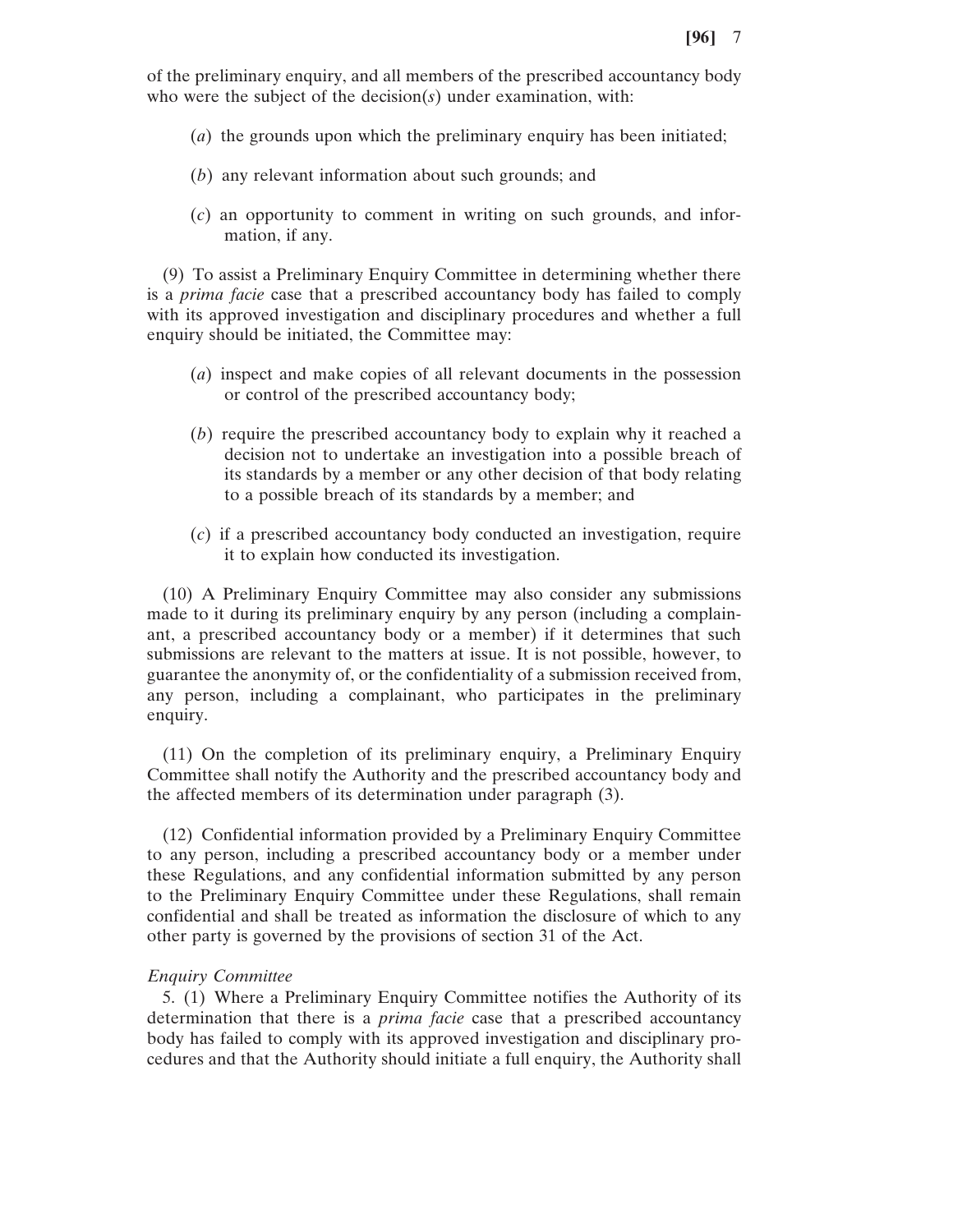of the preliminary enquiry, and all members of the prescribed accountancy body who were the subject of the decision(*s*) under examination, with:

- (*a*) the grounds upon which the preliminary enquiry has been initiated;
- (*b*) any relevant information about such grounds; and
- (*c*) an opportunity to comment in writing on such grounds, and information, if any.

(9) To assist a Preliminary Enquiry Committee in determining whether there is a *prima facie* case that a prescribed accountancy body has failed to comply with its approved investigation and disciplinary procedures and whether a full enquiry should be initiated, the Committee may:

- (*a*) inspect and make copies of all relevant documents in the possession or control of the prescribed accountancy body;
- (*b*) require the prescribed accountancy body to explain why it reached a decision not to undertake an investigation into a possible breach of its standards by a member or any other decision of that body relating to a possible breach of its standards by a member; and
- (*c*) if a prescribed accountancy body conducted an investigation, require it to explain how conducted its investigation.

(10) A Preliminary Enquiry Committee may also consider any submissions made to it during its preliminary enquiry by any person (including a complainant, a prescribed accountancy body or a member) if it determines that such submissions are relevant to the matters at issue. It is not possible, however, to guarantee the anonymity of, or the confidentiality of a submission received from, any person, including a complainant, who participates in the preliminary enquiry.

(11) On the completion of its preliminary enquiry, a Preliminary Enquiry Committee shall notify the Authority and the prescribed accountancy body and the affected members of its determination under paragraph (3).

(12) Confidential information provided by a Preliminary Enquiry Committee to any person, including a prescribed accountancy body or a member under these Regulations, and any confidential information submitted by any person to the Preliminary Enquiry Committee under these Regulations, shall remain confidential and shall be treated as information the disclosure of which to any other party is governed by the provisions of section 31 of the Act.

## *Enquiry Committee*

5. (1) Where a Preliminary Enquiry Committee notifies the Authority of its determination that there is a *prima facie* case that a prescribed accountancy body has failed to comply with its approved investigation and disciplinary procedures and that the Authority should initiate a full enquiry, the Authority shall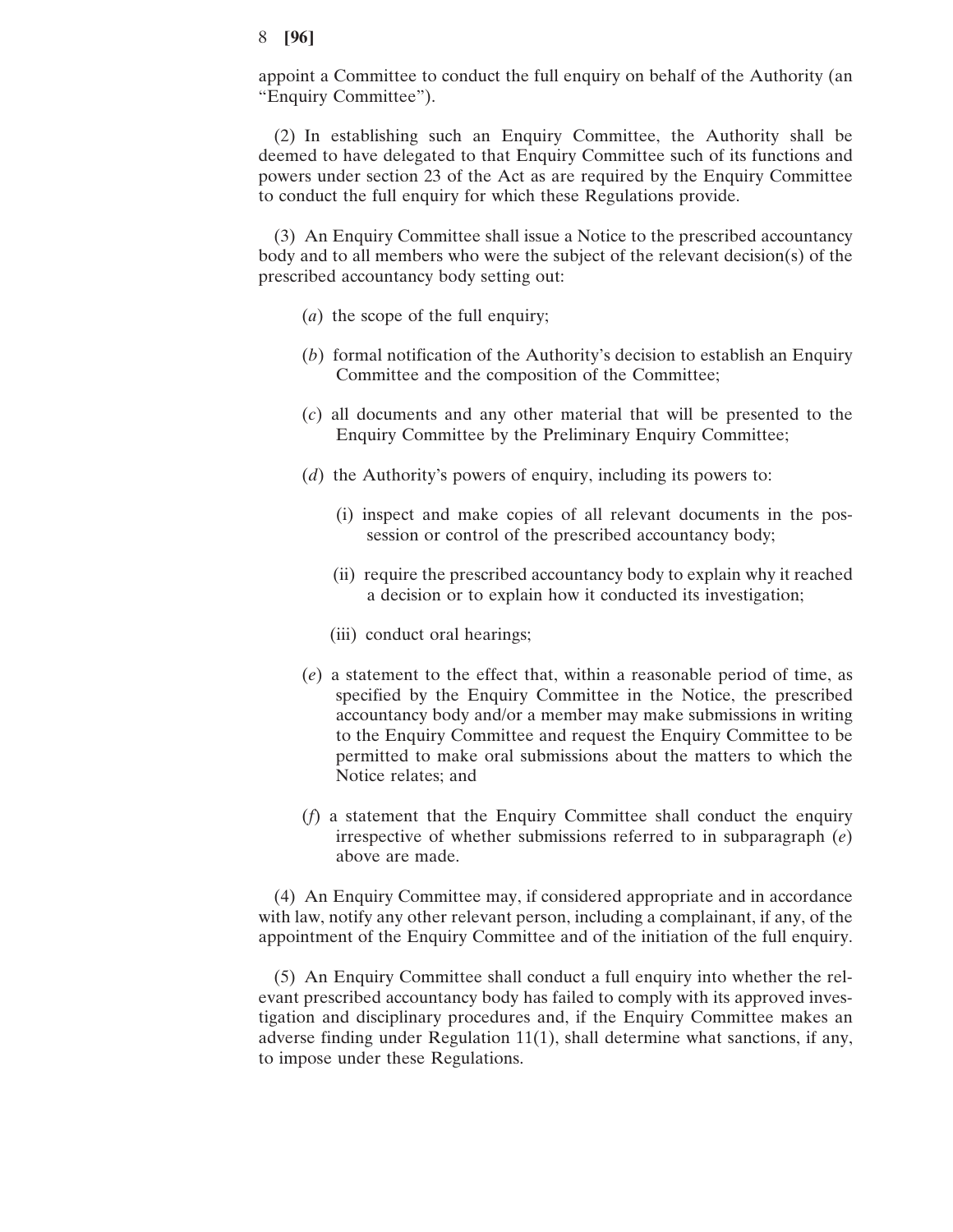appoint a Committee to conduct the full enquiry on behalf of the Authority (an "Enquiry Committee").

(2) In establishing such an Enquiry Committee, the Authority shall be deemed to have delegated to that Enquiry Committee such of its functions and powers under section 23 of the Act as are required by the Enquiry Committee to conduct the full enquiry for which these Regulations provide.

(3) An Enquiry Committee shall issue a Notice to the prescribed accountancy body and to all members who were the subject of the relevant decision(s) of the prescribed accountancy body setting out:

- (*a*) the scope of the full enquiry;
- (*b*) formal notification of the Authority's decision to establish an Enquiry Committee and the composition of the Committee;
- (*c*) all documents and any other material that will be presented to the Enquiry Committee by the Preliminary Enquiry Committee;
- (*d*) the Authority's powers of enquiry, including its powers to:
	- (i) inspect and make copies of all relevant documents in the possession or control of the prescribed accountancy body;
	- (ii) require the prescribed accountancy body to explain why it reached a decision or to explain how it conducted its investigation;
	- (iii) conduct oral hearings;
- (*e*) a statement to the effect that, within a reasonable period of time, as specified by the Enquiry Committee in the Notice, the prescribed accountancy body and/or a member may make submissions in writing to the Enquiry Committee and request the Enquiry Committee to be permitted to make oral submissions about the matters to which the Notice relates; and
- (*f*) a statement that the Enquiry Committee shall conduct the enquiry irrespective of whether submissions referred to in subparagraph (*e*) above are made.

(4) An Enquiry Committee may, if considered appropriate and in accordance with law, notify any other relevant person, including a complainant, if any, of the appointment of the Enquiry Committee and of the initiation of the full enquiry.

(5) An Enquiry Committee shall conduct a full enquiry into whether the relevant prescribed accountancy body has failed to comply with its approved investigation and disciplinary procedures and, if the Enquiry Committee makes an adverse finding under Regulation 11(1), shall determine what sanctions, if any, to impose under these Regulations.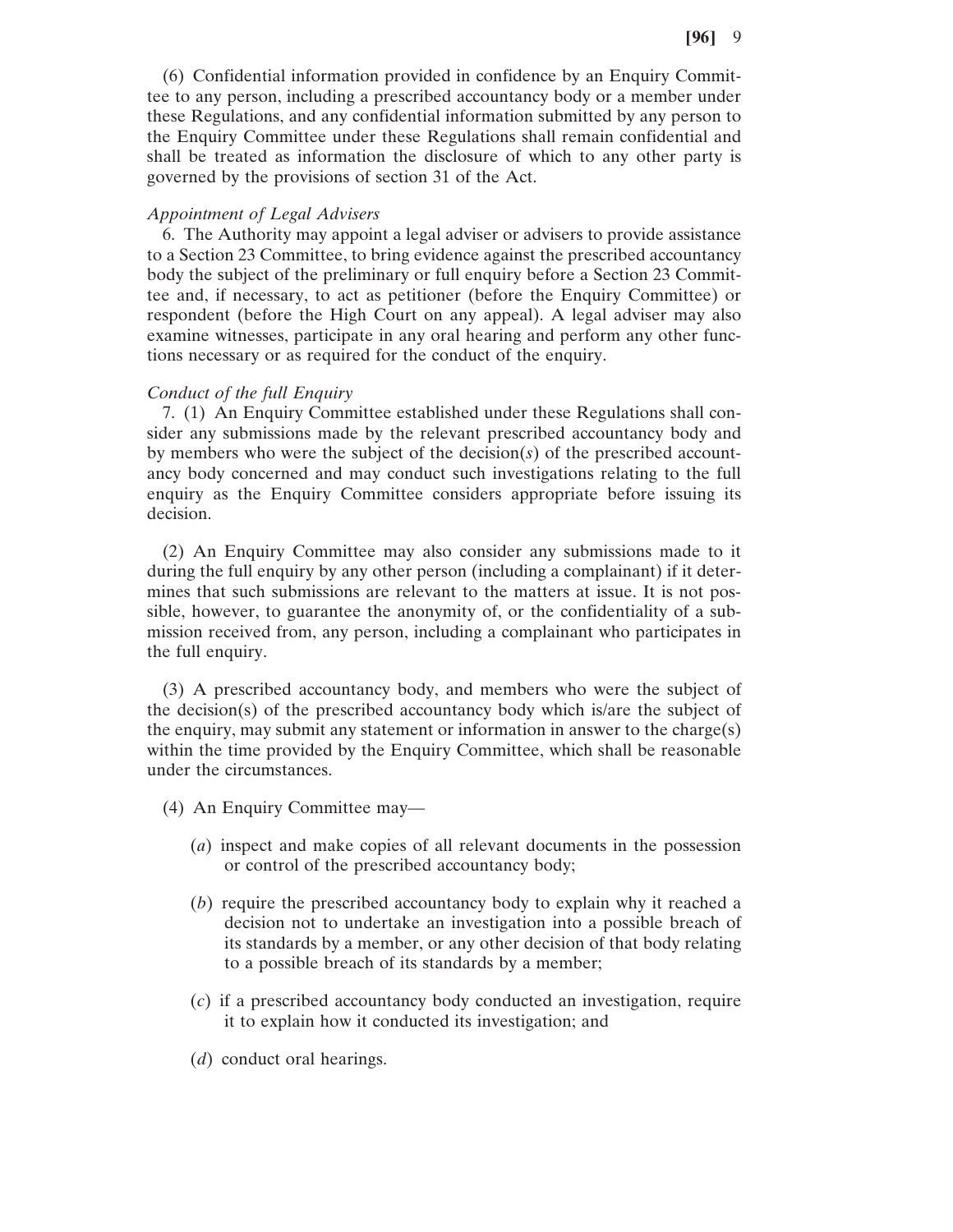(6) Confidential information provided in confidence by an Enquiry Committee to any person, including a prescribed accountancy body or a member under these Regulations, and any confidential information submitted by any person to the Enquiry Committee under these Regulations shall remain confidential and shall be treated as information the disclosure of which to any other party is governed by the provisions of section 31 of the Act.

#### *Appointment of Legal Advisers*

6. The Authority may appoint a legal adviser or advisers to provide assistance to a Section 23 Committee, to bring evidence against the prescribed accountancy body the subject of the preliminary or full enquiry before a Section 23 Committee and, if necessary, to act as petitioner (before the Enquiry Committee) or respondent (before the High Court on any appeal). A legal adviser may also examine witnesses, participate in any oral hearing and perform any other functions necessary or as required for the conduct of the enquiry.

#### *Conduct of the full Enquiry*

7. (1) An Enquiry Committee established under these Regulations shall consider any submissions made by the relevant prescribed accountancy body and by members who were the subject of the decision(*s*) of the prescribed accountancy body concerned and may conduct such investigations relating to the full enquiry as the Enquiry Committee considers appropriate before issuing its decision.

(2) An Enquiry Committee may also consider any submissions made to it during the full enquiry by any other person (including a complainant) if it determines that such submissions are relevant to the matters at issue. It is not possible, however, to guarantee the anonymity of, or the confidentiality of a submission received from, any person, including a complainant who participates in the full enquiry.

(3) A prescribed accountancy body, and members who were the subject of the decision(s) of the prescribed accountancy body which is/are the subject of the enquiry, may submit any statement or information in answer to the charge(s) within the time provided by the Enquiry Committee, which shall be reasonable under the circumstances.

- (4) An Enquiry Committee may—
	- (*a*) inspect and make copies of all relevant documents in the possession or control of the prescribed accountancy body;
	- (*b*) require the prescribed accountancy body to explain why it reached a decision not to undertake an investigation into a possible breach of its standards by a member, or any other decision of that body relating to a possible breach of its standards by a member;
	- (*c*) if a prescribed accountancy body conducted an investigation, require it to explain how it conducted its investigation; and
	- (*d*) conduct oral hearings.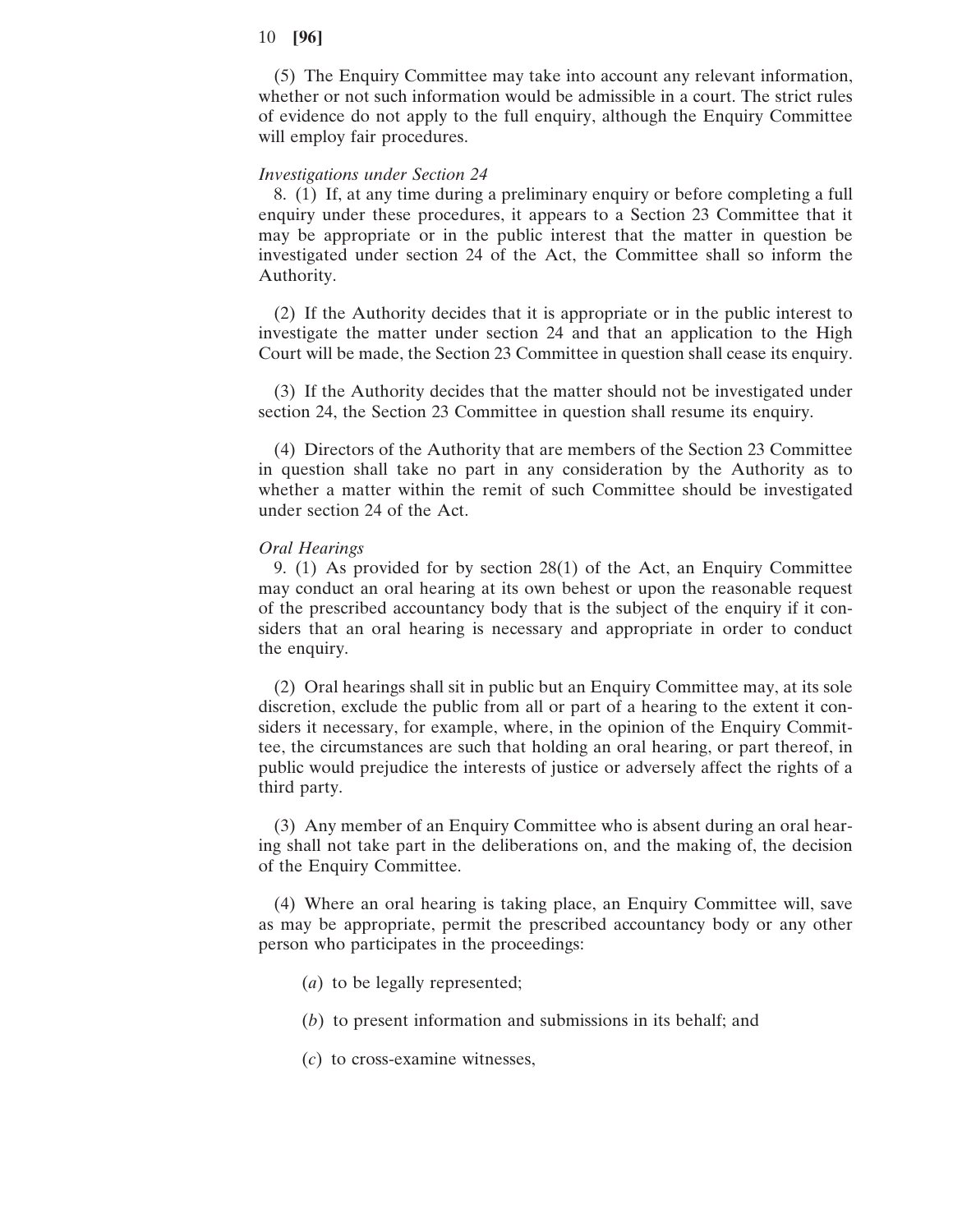(5) The Enquiry Committee may take into account any relevant information, whether or not such information would be admissible in a court. The strict rules of evidence do not apply to the full enquiry, although the Enquiry Committee will employ fair procedures.

#### *Investigations under Section 24*

8. (1) If, at any time during a preliminary enquiry or before completing a full enquiry under these procedures, it appears to a Section 23 Committee that it may be appropriate or in the public interest that the matter in question be investigated under section 24 of the Act, the Committee shall so inform the Authority.

(2) If the Authority decides that it is appropriate or in the public interest to investigate the matter under section 24 and that an application to the High Court will be made, the Section 23 Committee in question shall cease its enquiry.

(3) If the Authority decides that the matter should not be investigated under section 24, the Section 23 Committee in question shall resume its enquiry.

(4) Directors of the Authority that are members of the Section 23 Committee in question shall take no part in any consideration by the Authority as to whether a matter within the remit of such Committee should be investigated under section 24 of the Act.

#### *Oral Hearings*

9. (1) As provided for by section 28(1) of the Act, an Enquiry Committee may conduct an oral hearing at its own behest or upon the reasonable request of the prescribed accountancy body that is the subject of the enquiry if it considers that an oral hearing is necessary and appropriate in order to conduct the enquiry.

(2) Oral hearings shall sit in public but an Enquiry Committee may, at its sole discretion, exclude the public from all or part of a hearing to the extent it considers it necessary, for example, where, in the opinion of the Enquiry Committee, the circumstances are such that holding an oral hearing, or part thereof, in public would prejudice the interests of justice or adversely affect the rights of a third party.

(3) Any member of an Enquiry Committee who is absent during an oral hearing shall not take part in the deliberations on, and the making of, the decision of the Enquiry Committee.

(4) Where an oral hearing is taking place, an Enquiry Committee will, save as may be appropriate, permit the prescribed accountancy body or any other person who participates in the proceedings:

- (*a*) to be legally represented;
- (*b*) to present information and submissions in its behalf; and
- (*c*) to cross-examine witnesses,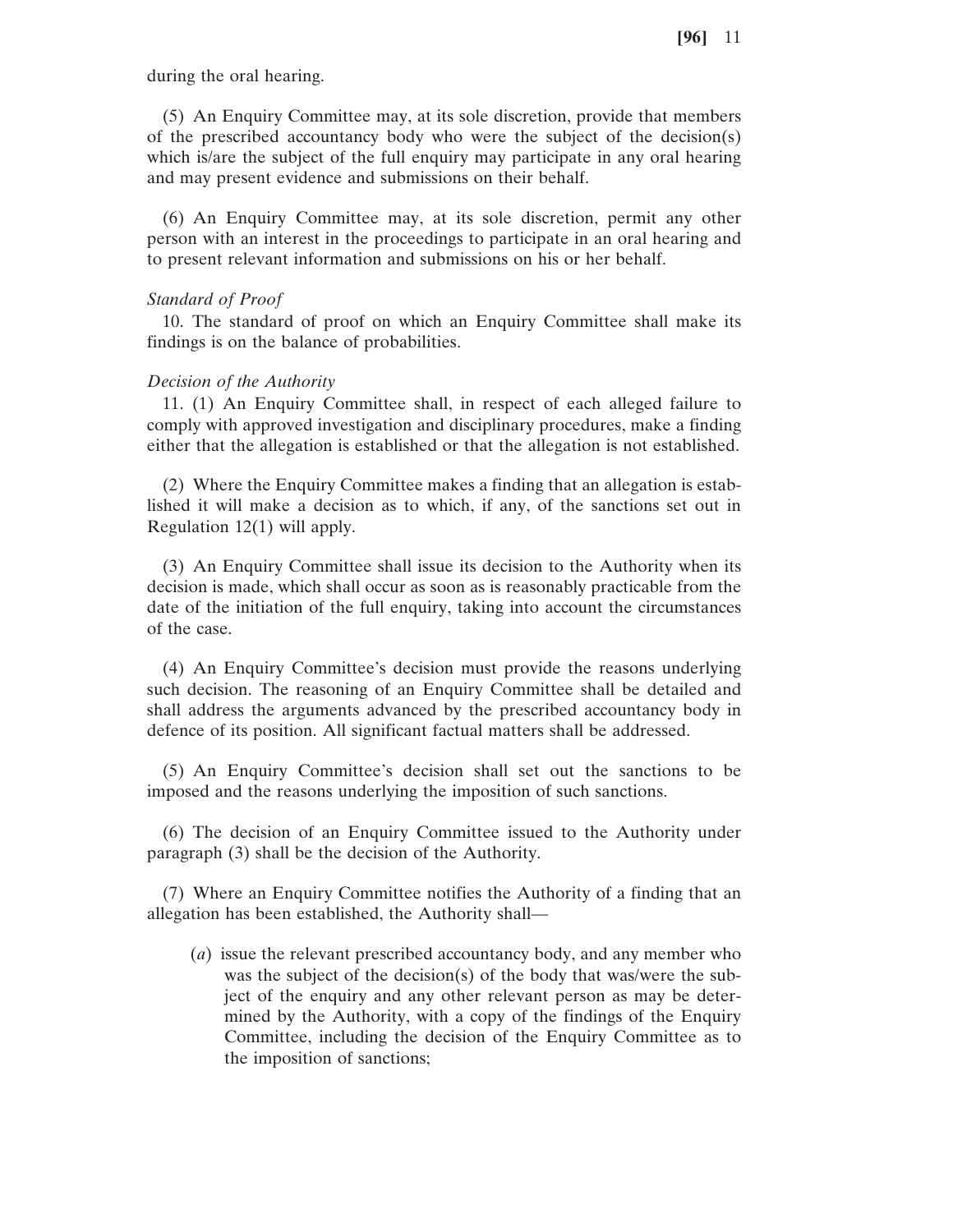during the oral hearing.

(5) An Enquiry Committee may, at its sole discretion, provide that members of the prescribed accountancy body who were the subject of the decision(s) which is/are the subject of the full enquiry may participate in any oral hearing and may present evidence and submissions on their behalf.

(6) An Enquiry Committee may, at its sole discretion, permit any other person with an interest in the proceedings to participate in an oral hearing and to present relevant information and submissions on his or her behalf.

## *Standard of Proof*

10. The standard of proof on which an Enquiry Committee shall make its findings is on the balance of probabilities.

## *Decision of the Authority*

11. (1) An Enquiry Committee shall, in respect of each alleged failure to comply with approved investigation and disciplinary procedures, make a finding either that the allegation is established or that the allegation is not established.

(2) Where the Enquiry Committee makes a finding that an allegation is established it will make a decision as to which, if any, of the sanctions set out in Regulation 12(1) will apply.

(3) An Enquiry Committee shall issue its decision to the Authority when its decision is made, which shall occur as soon as is reasonably practicable from the date of the initiation of the full enquiry, taking into account the circumstances of the case.

(4) An Enquiry Committee's decision must provide the reasons underlying such decision. The reasoning of an Enquiry Committee shall be detailed and shall address the arguments advanced by the prescribed accountancy body in defence of its position. All significant factual matters shall be addressed.

(5) An Enquiry Committee's decision shall set out the sanctions to be imposed and the reasons underlying the imposition of such sanctions.

(6) The decision of an Enquiry Committee issued to the Authority under paragraph (3) shall be the decision of the Authority.

(7) Where an Enquiry Committee notifies the Authority of a finding that an allegation has been established, the Authority shall—

(*a*) issue the relevant prescribed accountancy body, and any member who was the subject of the decision(s) of the body that was/were the subject of the enquiry and any other relevant person as may be determined by the Authority, with a copy of the findings of the Enquiry Committee, including the decision of the Enquiry Committee as to the imposition of sanctions;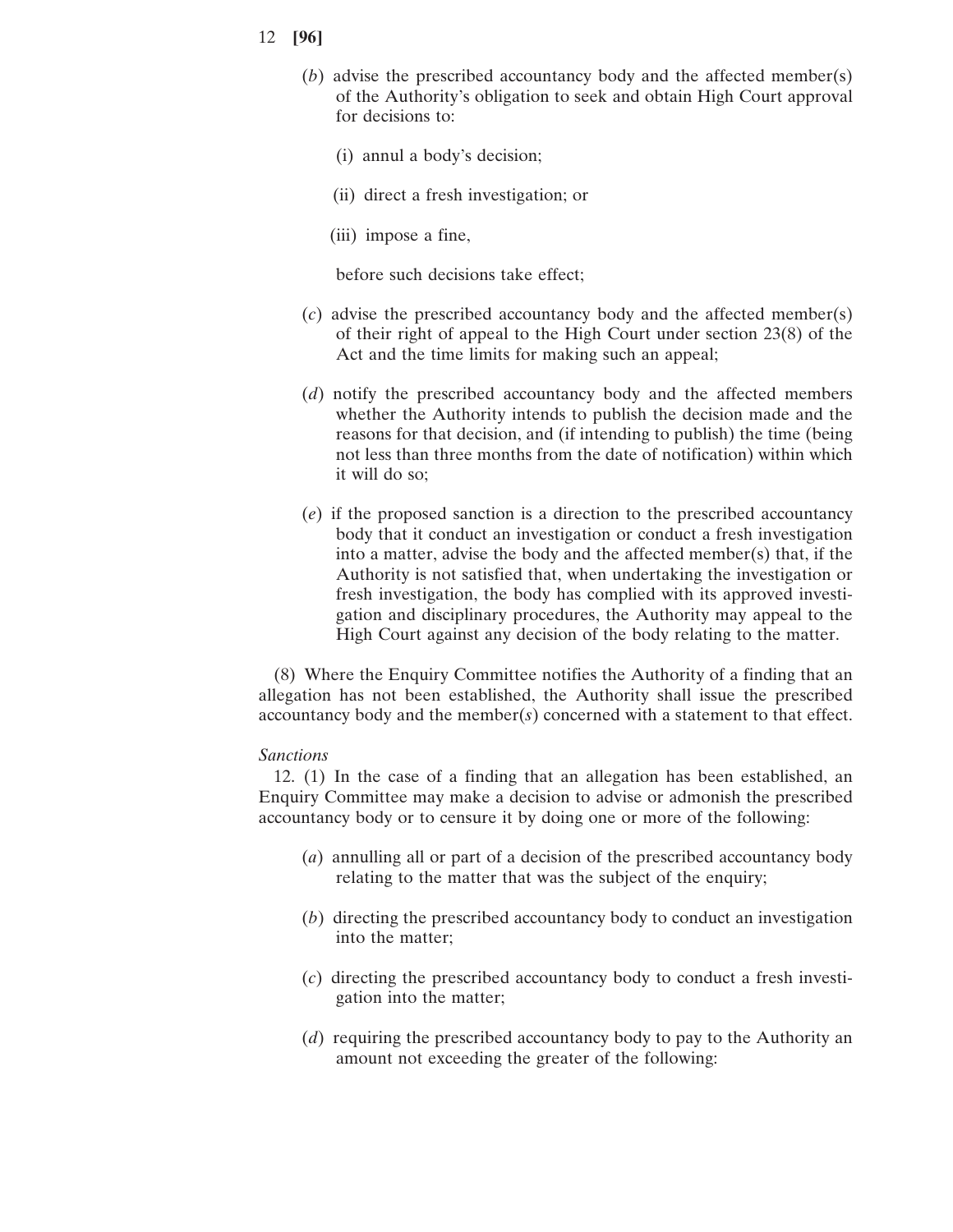- (*b*) advise the prescribed accountancy body and the affected member(s) of the Authority's obligation to seek and obtain High Court approval for decisions to:
	- (i) annul a body's decision;
	- (ii) direct a fresh investigation; or
	- (iii) impose a fine,

before such decisions take effect;

- (*c*) advise the prescribed accountancy body and the affected member(s) of their right of appeal to the High Court under section 23(8) of the Act and the time limits for making such an appeal;
- (*d*) notify the prescribed accountancy body and the affected members whether the Authority intends to publish the decision made and the reasons for that decision, and (if intending to publish) the time (being not less than three months from the date of notification) within which it will do so;
- (*e*) if the proposed sanction is a direction to the prescribed accountancy body that it conduct an investigation or conduct a fresh investigation into a matter, advise the body and the affected member(s) that, if the Authority is not satisfied that, when undertaking the investigation or fresh investigation, the body has complied with its approved investigation and disciplinary procedures, the Authority may appeal to the High Court against any decision of the body relating to the matter.

(8) Where the Enquiry Committee notifies the Authority of a finding that an allegation has not been established, the Authority shall issue the prescribed accountancy body and the member(*s*) concerned with a statement to that effect.

#### *Sanctions*

12. (1) In the case of a finding that an allegation has been established, an Enquiry Committee may make a decision to advise or admonish the prescribed accountancy body or to censure it by doing one or more of the following:

- (*a*) annulling all or part of a decision of the prescribed accountancy body relating to the matter that was the subject of the enquiry;
- (*b*) directing the prescribed accountancy body to conduct an investigation into the matter;
- (*c*) directing the prescribed accountancy body to conduct a fresh investigation into the matter;
- (*d*) requiring the prescribed accountancy body to pay to the Authority an amount not exceeding the greater of the following: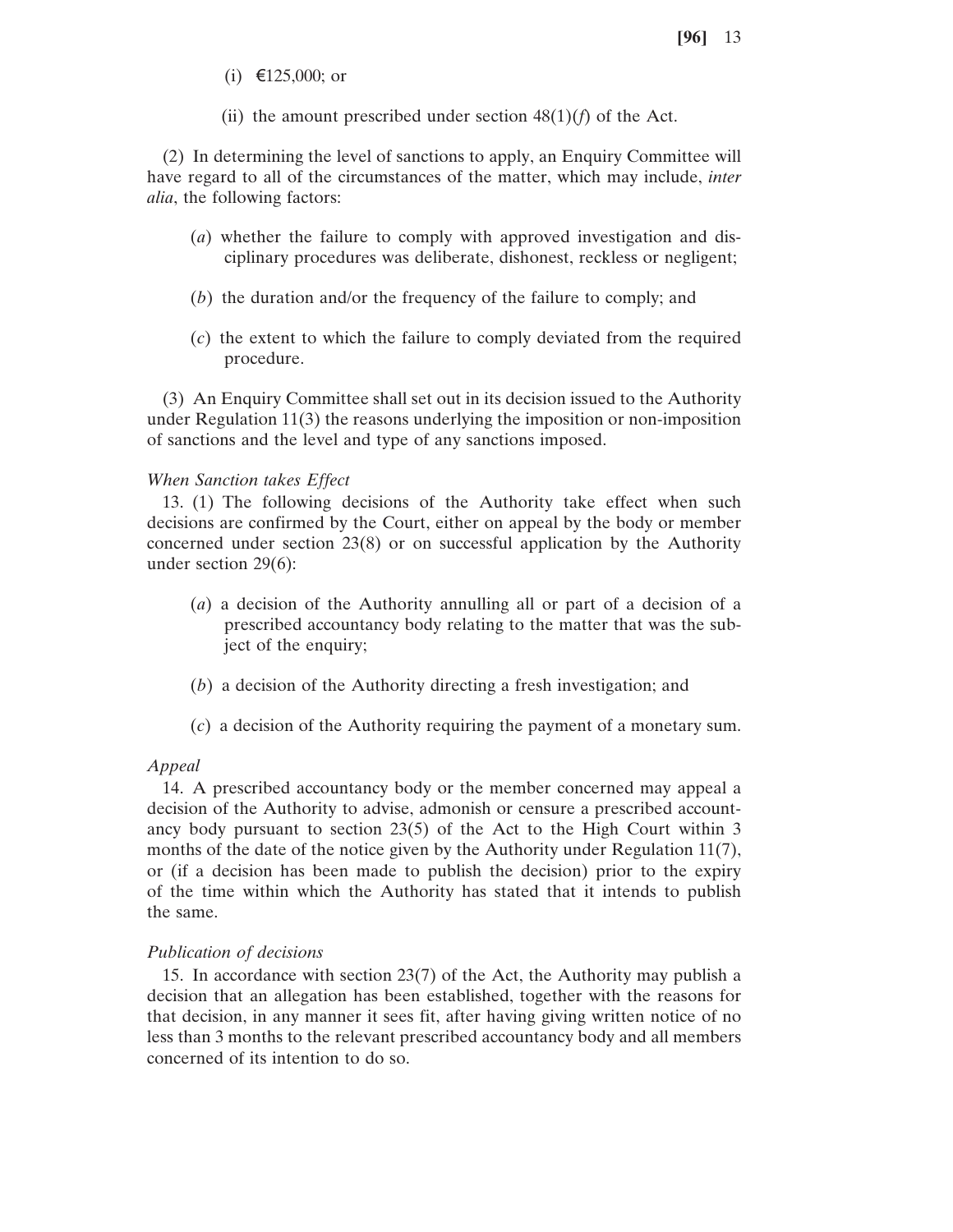- (i) €125,000; or
- (ii) the amount prescribed under section  $48(1)(f)$  of the Act.

(2) In determining the level of sanctions to apply, an Enquiry Committee will have regard to all of the circumstances of the matter, which may include, *inter alia*, the following factors:

- (*a*) whether the failure to comply with approved investigation and disciplinary procedures was deliberate, dishonest, reckless or negligent;
- (*b*) the duration and/or the frequency of the failure to comply; and
- (*c*) the extent to which the failure to comply deviated from the required procedure.

(3) An Enquiry Committee shall set out in its decision issued to the Authority under Regulation 11(3) the reasons underlying the imposition or non-imposition of sanctions and the level and type of any sanctions imposed.

## *When Sanction takes Effect*

13. (1) The following decisions of the Authority take effect when such decisions are confirmed by the Court, either on appeal by the body or member concerned under section 23(8) or on successful application by the Authority under section 29(6):

- (*a*) a decision of the Authority annulling all or part of a decision of a prescribed accountancy body relating to the matter that was the subject of the enquiry;
- (*b*) a decision of the Authority directing a fresh investigation; and
- (*c*) a decision of the Authority requiring the payment of a monetary sum.

## *Appeal*

14. A prescribed accountancy body or the member concerned may appeal a decision of the Authority to advise, admonish or censure a prescribed accountancy body pursuant to section 23(5) of the Act to the High Court within 3 months of the date of the notice given by the Authority under Regulation  $11(7)$ , or (if a decision has been made to publish the decision) prior to the expiry of the time within which the Authority has stated that it intends to publish the same.

## *Publication of decisions*

15. In accordance with section 23(7) of the Act, the Authority may publish a decision that an allegation has been established, together with the reasons for that decision, in any manner it sees fit, after having giving written notice of no less than 3 months to the relevant prescribed accountancy body and all members concerned of its intention to do so.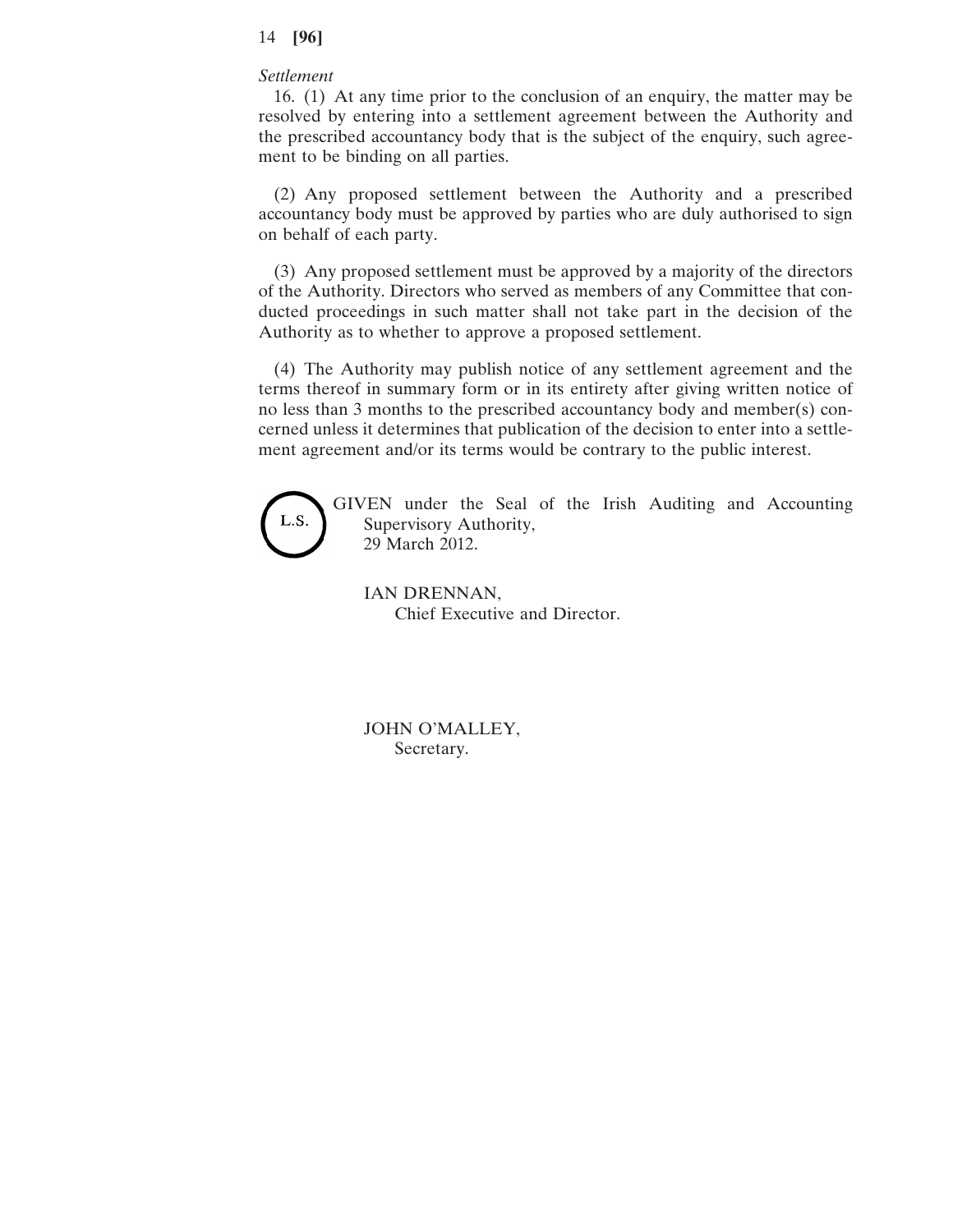## *Settlement*

16. (1) At any time prior to the conclusion of an enquiry, the matter may be resolved by entering into a settlement agreement between the Authority and the prescribed accountancy body that is the subject of the enquiry, such agreement to be binding on all parties.

(2) Any proposed settlement between the Authority and a prescribed accountancy body must be approved by parties who are duly authorised to sign on behalf of each party.

(3) Any proposed settlement must be approved by a majority of the directors of the Authority. Directors who served as members of any Committee that conducted proceedings in such matter shall not take part in the decision of the Authority as to whether to approve a proposed settlement.

(4) The Authority may publish notice of any settlement agreement and the terms thereof in summary form or in its entirety after giving written notice of no less than 3 months to the prescribed accountancy body and member(s) concerned unless it determines that publication of the decision to enter into a settlement agreement and/or its terms would be contrary to the public interest.



GIVEN under the Seal of the Irish Auditing and Accounting Supervisory Authority, 29 March 2012.

IAN DRENNAN, Chief Executive and Director.

JOHN O'MALLEY, Secretary.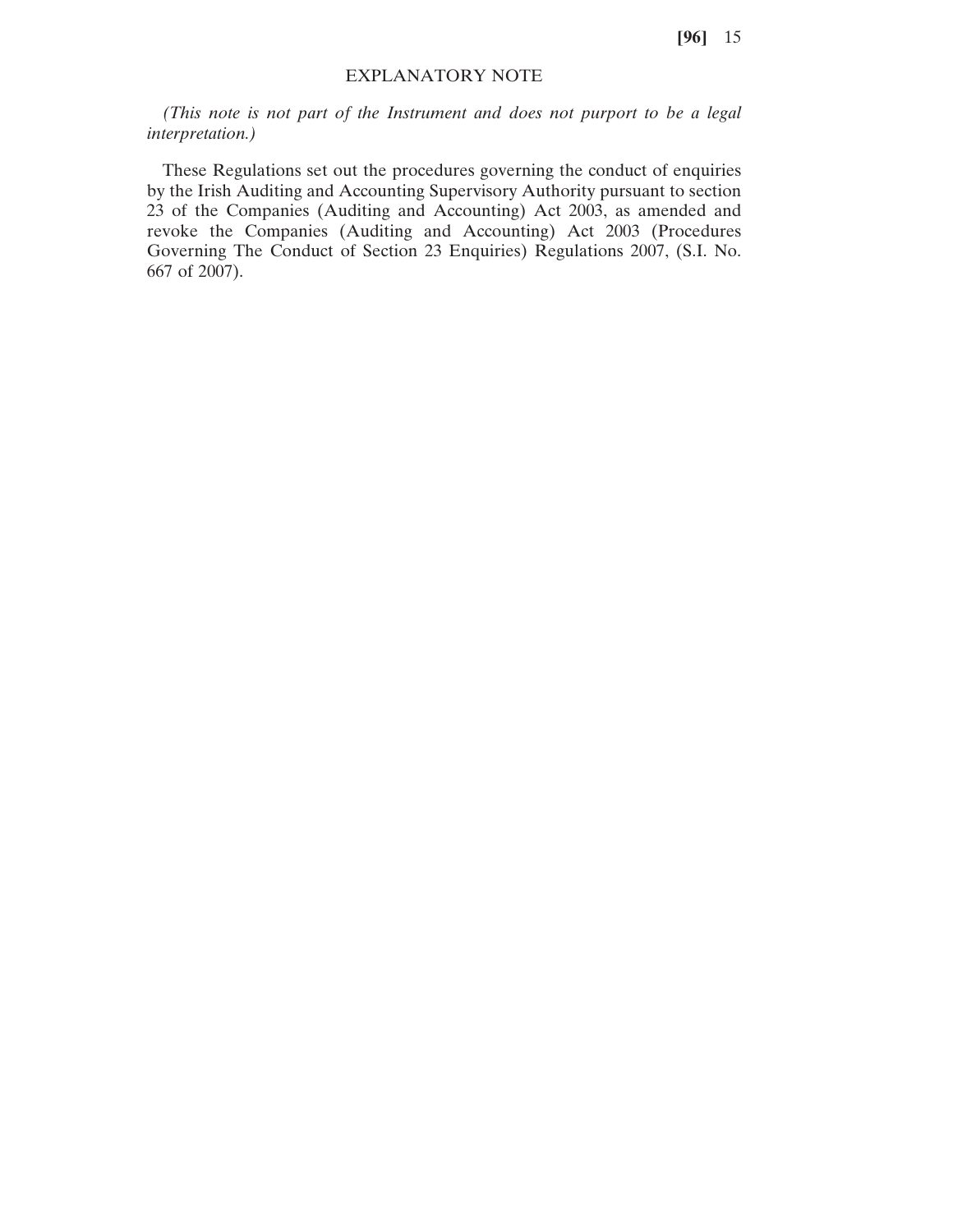# EXPLANATORY NOTE

*(This note is not part of the Instrument and does not purport to be a legal interpretation.)*

These Regulations set out the procedures governing the conduct of enquiries by the Irish Auditing and Accounting Supervisory Authority pursuant to section 23 of the Companies (Auditing and Accounting) Act 2003, as amended and revoke the Companies (Auditing and Accounting) Act 2003 (Procedures Governing The Conduct of Section 23 Enquiries) Regulations 2007, (S.I. No. 667 of 2007).